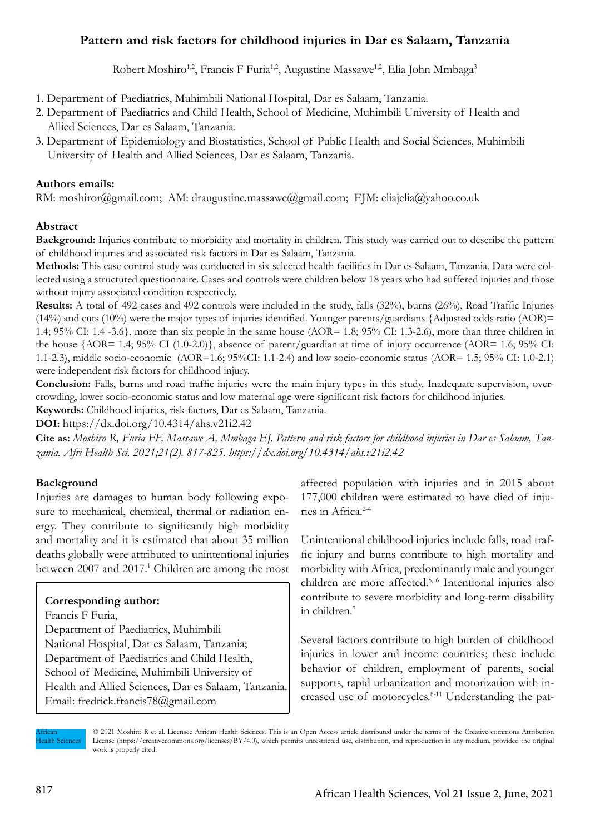# **Pattern and risk factors for childhood injuries in Dar es Salaam, Tanzania**

Robert Moshiro<sup>1,2</sup>, Francis F Furia<sup>1,2</sup>, Augustine Massawe<sup>1,2</sup>, Elia John Mmbaga<sup>3</sup>

- 1. Department of Paediatrics, Muhimbili National Hospital, Dar es Salaam, Tanzania.
- 2. Department of Paediatrics and Child Health, School of Medicine, Muhimbili University of Health and Allied Sciences, Dar es Salaam, Tanzania.
- 3. Department of Epidemiology and Biostatistics, School of Public Health and Social Sciences, Muhimbili University of Health and Allied Sciences, Dar es Salaam, Tanzania.

# **Authors emails:**

RM: moshiror@gmail.com; AM: draugustine.massawe@gmail.com; EJM: eliajelia@yahoo.co.uk

# **Abstract**

**Background:** Injuries contribute to morbidity and mortality in children. This study was carried out to describe the pattern of childhood injuries and associated risk factors in Dar es Salaam, Tanzania.

**Methods:** This case control study was conducted in six selected health facilities in Dar es Salaam, Tanzania. Data were collected using a structured questionnaire. Cases and controls were children below 18 years who had suffered injuries and those without injury associated condition respectively.

**Results:** A total of 492 cases and 492 controls were included in the study, falls (32%), burns (26%), Road Traffic Injuries (14%) and cuts (10%) were the major types of injuries identified. Younger parents/guardians {Adjusted odds ratio (AOR)= 1.4;  $95\%$  CI: 1.4 -3.6}, more than six people in the same house (AOR= 1.8; 95% CI: 1.3-2.6), more than three children in the house {AOR= 1.4; 95% CI (1.0-2.0)}, absence of parent/guardian at time of injury occurrence (AOR= 1.6; 95% CI: 1.1-2.3), middle socio-economic (AOR=1.6; 95%CI: 1.1-2.4) and low socio-economic status (AOR= 1.5; 95% CI: 1.0-2.1) were independent risk factors for childhood injury.

**Conclusion:** Falls, burns and road traffic injuries were the main injury types in this study. Inadequate supervision, overcrowding, lower socio-economic status and low maternal age were significant risk factors for childhood injuries.

**Keywords:** Childhood injuries, risk factors, Dar es Salaam, Tanzania.

**DOI:** https://dx.doi.org/10.4314/ahs.v21i2.42

**Cite as:** *Moshiro R, Furia FF, Massawe A, Mmbaga EJ. Pattern and risk factors for childhood injuries in Dar es Salaam, Tanzania. Afri Health Sci. 2021;21(2). 817-825. https://dx.doi.org/10.4314/ahs.v21i2.42*

# **Background**

Injuries are damages to human body following exposure to mechanical, chemical, thermal or radiation energy. They contribute to significantly high morbidity and mortality and it is estimated that about 35 million deaths globally were attributed to unintentional injuries between 2007 and 2017.<sup>1</sup> Children are among the most

# **Corresponding author:**

Francis F Furia, Department of Paediatrics, Muhimbili National Hospital, Dar es Salaam, Tanzania; Department of Paediatrics and Child Health, School of Medicine, Muhimbili University of Health and Allied Sciences, Dar es Salaam, Tanzania. Email: fredrick.francis78@gmail.com

affected population with injuries and in 2015 about 177,000 children were estimated to have died of injuries in Africa.2-4

Unintentional childhood injuries include falls, road traffic injury and burns contribute to high mortality and morbidity with Africa, predominantly male and younger children are more affected.5, 6 Intentional injuries also contribute to severe morbidity and long-term disability in children.7

Several factors contribute to high burden of childhood injuries in lower and income countries; these include behavior of children, employment of parents, social supports, rapid urbanization and motorization with increased use of motorcycles.<sup>8-11</sup> Understanding the pat-

African Health Sciences © 2021 Moshiro R et al. Licensee African Health Sciences. This is an Open Access article distributed under the terms of the Creative commons Attribution License (https://creativecommons.org/licenses/BY/4.0), which permits unrestricted use, distribution, and reproduction in any medium, provided the original work is properly cited.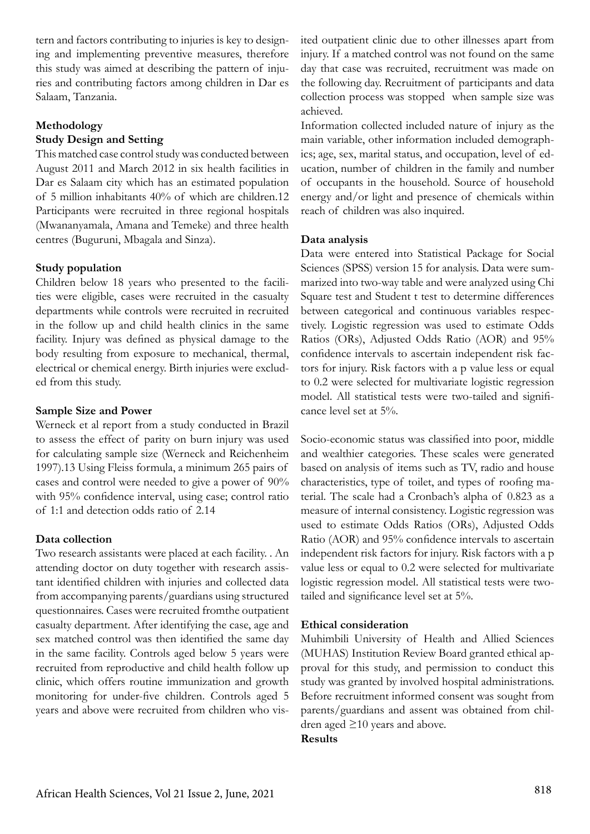tern and factors contributing to injuries is key to designing and implementing preventive measures, therefore this study was aimed at describing the pattern of injuries and contributing factors among children in Dar es Salaam, Tanzania.

# **Methodology**

### **Study Design and Setting**

This matched case control study was conducted between August 2011 and March 2012 in six health facilities in Dar es Salaam city which has an estimated population of 5 million inhabitants 40% of which are children.12 Participants were recruited in three regional hospitals (Mwananyamala, Amana and Temeke) and three health centres (Buguruni, Mbagala and Sinza).

# **Study population**

Children below 18 years who presented to the facilities were eligible, cases were recruited in the casualty departments while controls were recruited in recruited in the follow up and child health clinics in the same facility. Injury was defined as physical damage to the body resulting from exposure to mechanical, thermal, electrical or chemical energy. Birth injuries were excluded from this study.

#### **Sample Size and Power**

Werneck et al report from a study conducted in Brazil to assess the effect of parity on burn injury was used for calculating sample size (Werneck and Reichenheim 1997).13 Using Fleiss formula, a minimum 265 pairs of cases and control were needed to give a power of 90% with 95% confidence interval, using case; control ratio of 1:1 and detection odds ratio of 2.14

# **Data collection**

Two research assistants were placed at each facility. . An attending doctor on duty together with research assistant identified children with injuries and collected data from accompanying parents/guardians using structured questionnaires. Cases were recruited fromthe outpatient casualty department. After identifying the case, age and sex matched control was then identified the same day in the same facility. Controls aged below 5 years were recruited from reproductive and child health follow up clinic, which offers routine immunization and growth monitoring for under-five children. Controls aged 5 years and above were recruited from children who visited outpatient clinic due to other illnesses apart from injury. If a matched control was not found on the same day that case was recruited, recruitment was made on the following day. Recruitment of participants and data collection process was stopped when sample size was achieved.

Information collected included nature of injury as the main variable, other information included demographics; age, sex, marital status, and occupation, level of education, number of children in the family and number of occupants in the household. Source of household energy and/or light and presence of chemicals within reach of children was also inquired.

#### **Data analysis**

Data were entered into Statistical Package for Social Sciences (SPSS) version 15 for analysis. Data were summarized into two-way table and were analyzed using Chi Square test and Student t test to determine differences between categorical and continuous variables respectively. Logistic regression was used to estimate Odds Ratios (ORs), Adjusted Odds Ratio (AOR) and 95% confidence intervals to ascertain independent risk factors for injury. Risk factors with a p value less or equal to 0.2 were selected for multivariate logistic regression model. All statistical tests were two-tailed and significance level set at 5%.

Socio-economic status was classified into poor, middle and wealthier categories. These scales were generated based on analysis of items such as TV, radio and house characteristics, type of toilet, and types of roofing material. The scale had a Cronbach's alpha of 0.823 as a measure of internal consistency. Logistic regression was used to estimate Odds Ratios (ORs), Adjusted Odds Ratio (AOR) and 95% confidence intervals to ascertain independent risk factors for injury. Risk factors with a p value less or equal to 0.2 were selected for multivariate logistic regression model. All statistical tests were twotailed and significance level set at 5%.

#### **Ethical consideration**

Muhimbili University of Health and Allied Sciences (MUHAS) Institution Review Board granted ethical approval for this study, and permission to conduct this study was granted by involved hospital administrations. Before recruitment informed consent was sought from parents/guardians and assent was obtained from children aged ≥10 years and above.

#### **Results**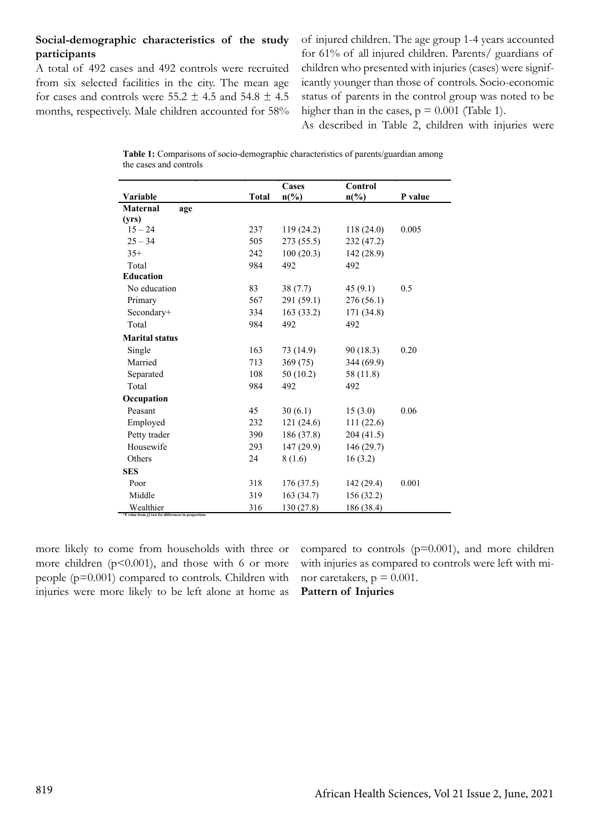# **Social-demographic characteristics of the study participants**

A total of 492 cases and 492 controls were recruited from six selected facilities in the city. The mean age for cases and controls were  $55.2 \pm 4.5$  and  $54.8 \pm 4.5$ months, respectively. Male children accounted for 58% of injured children. The age group 1-4 years accounted for 61% of all injured children. Parents/ guardians of children who presented with injuries (cases) were significantly younger than those of controls. Socio-economic status of parents in the control group was noted to be higher than in the cases,  $p = 0.001$  (Table 1).

As described in Table 2, children with injuries were

**Table 1:** Comparisons of socio-demographic characteristics of parents/guardian among the cases and controls

|                                                                         |              | Cases                       | Control                     |         |
|-------------------------------------------------------------------------|--------------|-----------------------------|-----------------------------|---------|
| Variable                                                                | <b>Total</b> | $n\left(\frac{6}{6}\right)$ | $n\left(\frac{9}{6}\right)$ | P value |
| <b>Maternal</b><br>age                                                  |              |                             |                             |         |
| (yrs)                                                                   |              |                             |                             |         |
| $15 - 24$                                                               | 237          | 119(24.2)                   | 118(24.0)                   | 0.005   |
| $25 - 34$                                                               | 505          | 273 (55.5)                  | 232 (47.2)                  |         |
| $35+$                                                                   | 242          | 100(20.3)                   | 142(28.9)                   |         |
| Total                                                                   | 984          | 492                         | 492                         |         |
| <b>Education</b>                                                        |              |                             |                             |         |
| No education                                                            | 83           | 38(7.7)                     | 45(9.1)                     | 0.5     |
| Primary                                                                 | 567          | 291 (59.1)                  | 276(56.1)                   |         |
| Secondary+                                                              | 334          | 163(33.2)                   | 171 (34.8)                  |         |
| Total                                                                   | 984          | 492                         | 492                         |         |
| <b>Marital status</b>                                                   |              |                             |                             |         |
| Single                                                                  | 163          | 73 (14.9)                   | 90 (18.3)                   | 0.20    |
| Married                                                                 | 713          | 369 (75)                    | 344 (69.9)                  |         |
| Separated                                                               | 108          | 50(10.2)                    | 58 (11.8)                   |         |
| Total                                                                   | 984          | 492                         | 492                         |         |
| Occupation                                                              |              |                             |                             |         |
| Peasant                                                                 | 45           | 30(6.1)                     | 15(3.0)                     | 0.06    |
| Employed                                                                | 232          | 121(24.6)                   | 111(22.6)                   |         |
| Petty trader                                                            | 390          | 186 (37.8)                  | 204(41.5)                   |         |
| Housewife                                                               | 293          | 147(29.9)                   | 146(29.7)                   |         |
| Others                                                                  | 24           | 8(1.6)                      | 16(3.2)                     |         |
| <b>SES</b>                                                              |              |                             |                             |         |
| Poor                                                                    | 318          | 176(37.5)                   | 142 (29.4)                  | 0.001   |
| Middle                                                                  | 319          | 163(34.7)                   | 156(32.2)                   |         |
| Wealthier<br>*P value from $\chi$ 2 test for differences in proportions | 316          | 130 (27.8)                  | 186 (38.4)                  |         |

more likely to come from households with three or more children  $(p<0.001)$ , and those with 6 or more people (p=0.001) compared to controls. Children with injuries were more likely to be left alone at home as

compared to controls  $(p=0.001)$ , and more children with injuries as compared to controls were left with minor caretakers,  $p = 0.001$ . **Pattern of Injuries**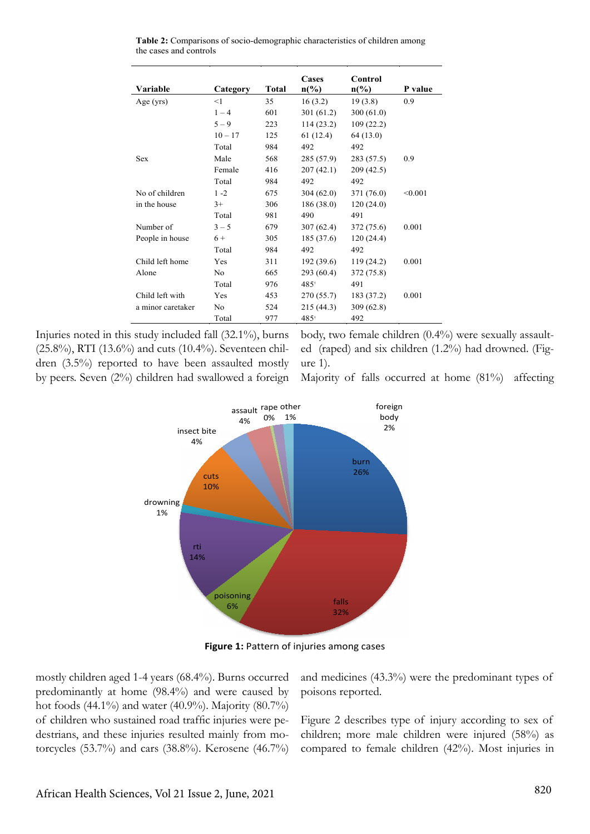| Variable          | Category   | Total | Cases<br>$n\binom{0}{0}$ | Control<br>$n\binom{0}{0}$ | P value |
|-------------------|------------|-------|--------------------------|----------------------------|---------|
| Age $(yrs)$       | <1         | 35    | 16(3.2)                  | 19(3.8)                    | 0.9     |
|                   | $1 - 4$    | 601   | 301(61.2)                | 300 $(61.0)$               |         |
|                   | $5 - 9$    | 223   | 114(23.2)                | 109(22.2)                  |         |
|                   | $10 - 17$  | 125   | 61(12.4)                 | 64(13.0)                   |         |
|                   | Total      | 984   | 492                      | 492                        |         |
| <b>Sex</b>        | Male       | 568   | 285(57.9)                | 283 (57.5)                 | 0.9     |
|                   | Female     | 416   | 207(42.1)                | 209(42.5)                  |         |
|                   | Total      | 984   | 492                      | 492                        |         |
| No of children    | $1 - 2$    | 675   | 304(62.0)                | 371 (76.0)                 | < 0.001 |
| in the house      | $3+$       | 306   | 186(38.0)                | 120(24.0)                  |         |
|                   | Total      | 981   | 490                      | 491                        |         |
| Number of         | $3 - 5$    | 679   | 307(62.4)                | 372 (75.6)                 | 0.001   |
| People in house   | $6+$       | 305   | 185(37.6)                | 120(24.4)                  |         |
|                   | Total      | 984   | 492                      | 492                        |         |
| Child left home   | <b>Yes</b> | 311   | 192(39.6)                | 119(24.2)                  | 0.001   |
| Alone             | No         | 665   | 293 (60.4)               | 372 (75.8)                 |         |
|                   | Total      | 976   | $485^{\circ}$            | 491                        |         |
| Child left with   | <b>Yes</b> | 453   | 270(55.7)                | 183 (37.2)                 | 0.001   |
| a minor caretaker | No         | 524   | 215 (44.3)               | 309(62.8)                  |         |
|                   | Total      | 977   | 485 <sup>+</sup>         | 492                        |         |

**Table 2:** Comparisons of socio-demographic characteristics of children among the cases and controls

Injuries noted in this study included fall (32.1%), burns (25.8%), RTI (13.6%) and cuts (10.4%). Seventeen children (3.5%) reported to have been assaulted mostly by peers. Seven (2%) children had swallowed a foreign body, two female children (0.4%) were sexually assaulted (raped) and six children (1.2%) had drowned. (Figure 1).



Majority of falls occurred at home (81%) affecting

**Figure 1:** Pattern of injuries among cases

mostly children aged 1-4 years (68.4%). Burns occurred predominantly at home (98.4%) and were caused by hot foods (44.1%) and water (40.9%). Majority (80.7%) of children who sustained road traffic injuries were pedestrians, and these injuries resulted mainly from motorcycles (53.7%) and cars (38.8%). Kerosene (46.7%) and medicines (43.3%) were the predominant types of poisons reported.

Figure 2 describes type of injury according to sex of children; more male children were injured (58%) as compared to female children (42%). Most injuries in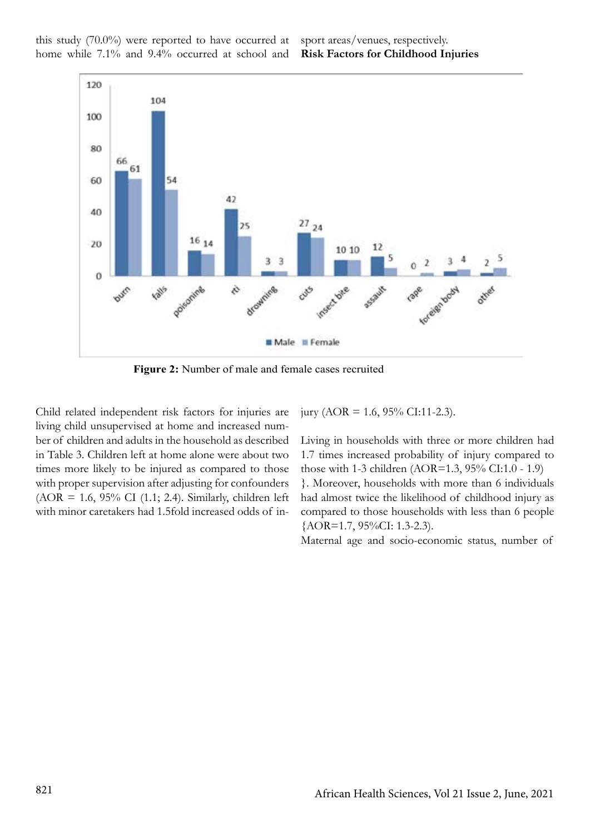this study (70.0%) were reported to have occurred at home while 7.1% and 9.4% occurred at school and sport areas/venues, respectively. **Risk Factors for Childhood Injuries**



 **Figure 2:** Number of male and female cases recruited

Child related independent risk factors for injuries are living child unsupervised at home and increased number of children and adults in the household as described in Table 3. Children left at home alone were about two times more likely to be injured as compared to those with proper supervision after adjusting for confounders (AOR = 1.6, 95% CI (1.1; 2.4). Similarly, children left with minor caretakers had 1.5fold increased odds of injury (AOR = 1.6, 95% CI:11-2.3).

Living in households with three or more children had 1.7 times increased probability of injury compared to those with 1-3 children (AOR=1.3, 95% CI:1.0 - 1.9) }. Moreover, households with more than 6 individuals had almost twice the likelihood of childhood injury as compared to those households with less than 6 people {AOR=1.7, 95%CI: 1.3-2.3).

Maternal age and socio-economic status, number of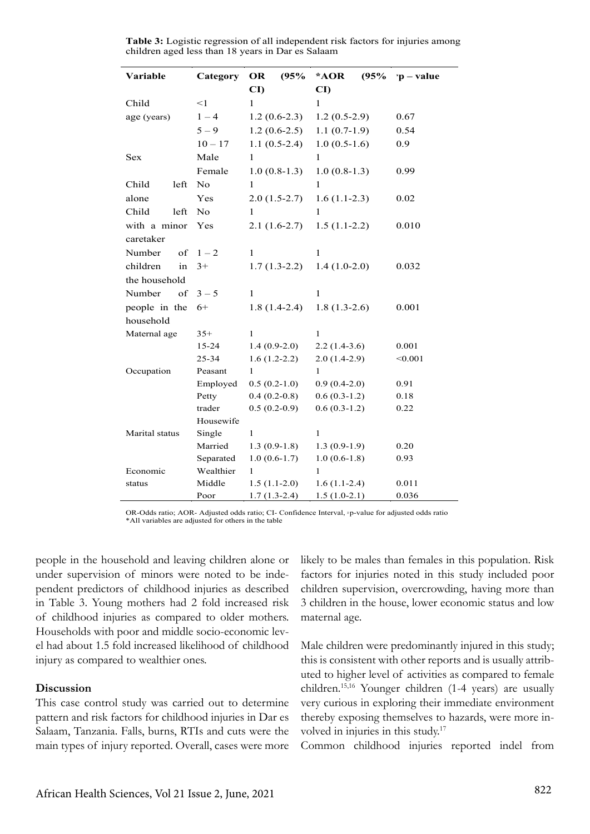| Variable           | Category               | OR                     | (95% | *AOR                   | (95% | $\mathbf{v}$ - value |
|--------------------|------------------------|------------------------|------|------------------------|------|----------------------|
|                    |                        | $\mathbf{C}\mathbf{D}$ |      | $\mathbf{C}\mathbf{D}$ |      |                      |
| Child              | <1                     | $\mathbf{1}$           |      | 1                      |      |                      |
| age (years)        | $1 - 4$                | $1.2(0.6-2.3)$         |      | $1.2(0.5-2.9)$         |      | 0.67                 |
|                    | $5 - 9$                | $1.2(0.6-2.5)$         |      | $1.1(0.7-1.9)$         |      | 0.54                 |
|                    | $10 - 17$              | $1.1(0.5-2.4)$         |      | $1.0(0.5-1.6)$         |      | 0.9                  |
| Sex                | Male                   | $\mathbf{1}$           |      | $\mathbf{1}$           |      |                      |
|                    | Female                 | $1.0(0.8-1.3)$         |      | $1.0(0.8-1.3)$         |      | 0.99                 |
| Child<br>left      | No                     | $\mathbf{1}$           |      | 1                      |      |                      |
| alone              | Yes                    | $2.0(1.5-2.7)$         |      | $1.6(1.1-2.3)$         |      | 0.02                 |
| Child<br>left      | N <sub>0</sub>         | 1                      |      | 1                      |      |                      |
| with a minor       | Yes                    | $2.1(1.6-2.7)$         |      | $1.5(1.1-2.2)$         |      | 0.010                |
| caretaker          |                        |                        |      |                        |      |                      |
| Number<br>of       | $1 - 2$                | 1                      |      | 1                      |      |                      |
| children<br>in     | $3+$                   | $1.7(1.3-2.2)$         |      | $1.4(1.0-2.0)$         |      | 0.032                |
| the household      |                        |                        |      |                        |      |                      |
| Number<br>of       | $3 - 5$                | 1                      |      | 1                      |      |                      |
| people in the      | $6+$                   | $1.8(1.4-2.4)$         |      | $1.8(1.3-2.6)$         |      | 0.001                |
| household          |                        |                        |      |                        |      |                      |
| Maternal age       | $35+$                  | 1                      |      | 1                      |      |                      |
|                    | 15-24                  | $1.4(0.9-2.0)$         |      | $2.2(1.4-3.6)$         |      | 0.001                |
|                    | 25-34                  | $1.6(1.2-2.2)$         |      | $2.0(1.4-2.9)$         |      | < 0.001              |
| Occupation         | Peasant                | $\mathbf{1}$           |      | $\mathbf{1}$           |      |                      |
|                    | Employed               | $0.5(0.2-1.0)$         |      | $0.9(0.4-2.0)$         |      | 0.91                 |
|                    | Petty                  | $0.4(0.2-0.8)$         |      | $0.6(0.3-1.2)$         |      | 0.18                 |
|                    | trader                 | $0.5(0.2-0.9)$         |      | $0.6(0.3-1.2)$         |      | 0.22                 |
|                    | Housewife              |                        |      |                        |      |                      |
| Marital status     | Single                 | 1                      |      | $\mathbf{1}$           |      |                      |
|                    | Married                | $1.3(0.9-1.8)$         |      | $1.3(0.9-1.9)$         |      | 0.20                 |
|                    | Separated<br>Wealthier | $1.0(0.6-1.7)$<br>1    |      | $1.0(0.6-1.8)$<br>1    |      | 0.93                 |
| Economic<br>status | Middle                 | $1.5(1.1-2.0)$         |      | $1.6(1.1-2.4)$         |      | 0.011                |
|                    | Poor                   | $1.7(1.3-2.4)$         |      | $1.5(1.0-2.1)$         |      | 0.036                |

**Table 3:** Logistic regression of all independent risk factors for injuries among children aged less than 18 years in Dar es Salaam

OR-Odds ratio; AOR- Adjusted odds ratio; CI- Confidence Interval, <sup>χ</sup>p-value for adjusted odds ratio \*All variables are adjusted for others in the table

people in the household and leaving children alone or under supervision of minors were noted to be independent predictors of childhood injuries as described in Table 3. Young mothers had 2 fold increased risk of childhood injuries as compared to older mothers. Households with poor and middle socio-economic level had about 1.5 fold increased likelihood of childhood injury as compared to wealthier ones.

# **Discussion**

This case control study was carried out to determine pattern and risk factors for childhood injuries in Dar es Salaam, Tanzania. Falls, burns, RTIs and cuts were the main types of injury reported. Overall, cases were more likely to be males than females in this population. Risk factors for injuries noted in this study included poor children supervision, overcrowding, having more than 3 children in the house, lower economic status and low maternal age.

Male children were predominantly injured in this study; this is consistent with other reports and is usually attributed to higher level of activities as compared to female children.15,16 Younger children (1-4 years) are usually very curious in exploring their immediate environment thereby exposing themselves to hazards, were more involved in injuries in this study.17

Common childhood injuries reported indel from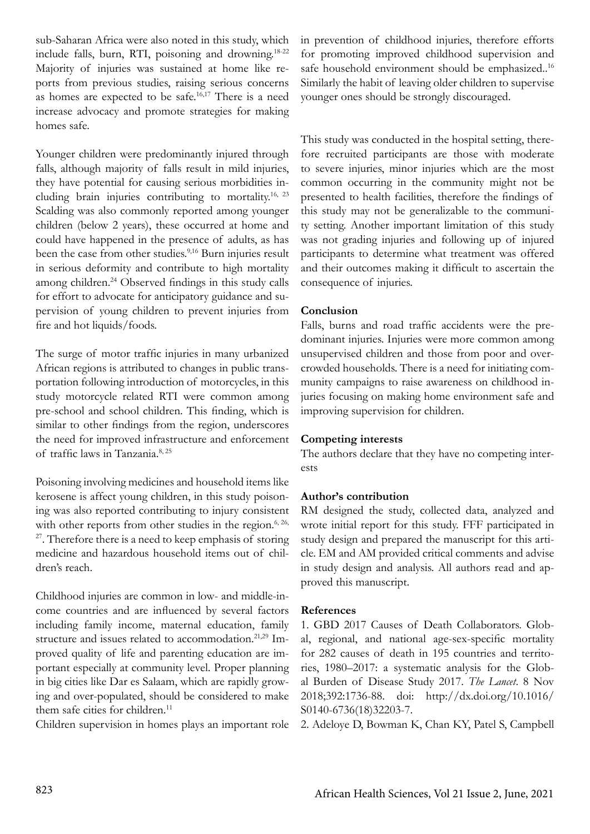sub-Saharan Africa were also noted in this study, which include falls, burn, RTI, poisoning and drowning.18-22 Majority of injuries was sustained at home like reports from previous studies, raising serious concerns as homes are expected to be safe.16,17 There is a need increase advocacy and promote strategies for making homes safe.

Younger children were predominantly injured through falls, although majority of falls result in mild injuries, they have potential for causing serious morbidities including brain injuries contributing to mortality.16, 23 Scalding was also commonly reported among younger children (below 2 years), these occurred at home and could have happened in the presence of adults, as has been the case from other studies.<sup>9,16</sup> Burn injuries result in serious deformity and contribute to high mortality among children.<sup>24</sup> Observed findings in this study calls for effort to advocate for anticipatory guidance and supervision of young children to prevent injuries from fire and hot liquids/foods.

The surge of motor traffic injuries in many urbanized African regions is attributed to changes in public transportation following introduction of motorcycles, in this study motorcycle related RTI were common among pre-school and school children. This finding, which is similar to other findings from the region, underscores the need for improved infrastructure and enforcement of traffic laws in Tanzania.8, 25

Poisoning involving medicines and household items like kerosene is affect young children, in this study poisoning was also reported contributing to injury consistent with other reports from other studies in the region. $6, 26$ ,  $27$ . Therefore there is a need to keep emphasis of storing medicine and hazardous household items out of children's reach.

Childhood injuries are common in low- and middle-income countries and are influenced by several factors including family income, maternal education, family structure and issues related to accommodation.<sup>21,29</sup> Improved quality of life and parenting education are important especially at community level. Proper planning in big cities like Dar es Salaam, which are rapidly growing and over-populated, should be considered to make them safe cities for children.<sup>11</sup>

Children supervision in homes plays an important role

in prevention of childhood injuries, therefore efforts for promoting improved childhood supervision and safe household environment should be emphasized..<sup>16</sup> Similarly the habit of leaving older children to supervise younger ones should be strongly discouraged.

This study was conducted in the hospital setting, therefore recruited participants are those with moderate to severe injuries, minor injuries which are the most common occurring in the community might not be presented to health facilities, therefore the findings of this study may not be generalizable to the community setting. Another important limitation of this study was not grading injuries and following up of injured participants to determine what treatment was offered and their outcomes making it difficult to ascertain the consequence of injuries.

# **Conclusion**

Falls, burns and road traffic accidents were the predominant injuries. Injuries were more common among unsupervised children and those from poor and overcrowded households. There is a need for initiating community campaigns to raise awareness on childhood injuries focusing on making home environment safe and improving supervision for children.

# **Competing interests**

The authors declare that they have no competing interests

# **Author's contribution**

RM designed the study, collected data, analyzed and wrote initial report for this study. FFF participated in study design and prepared the manuscript for this article. EM and AM provided critical comments and advise in study design and analysis. All authors read and approved this manuscript.

# **References**

1. GBD 2017 Causes of Death Collaborators. Global, regional, and national age-sex-specific mortality for 282 causes of death in 195 countries and territories, 1980–2017: a systematic analysis for the Global Burden of Disease Study 2017. *The Lancet*. 8 Nov 2018;392:1736-88. doi: http://dx.doi.org/10.1016/ S0140-6736(18)32203-7.

2. Adeloye D, Bowman K, Chan KY, Patel S, Campbell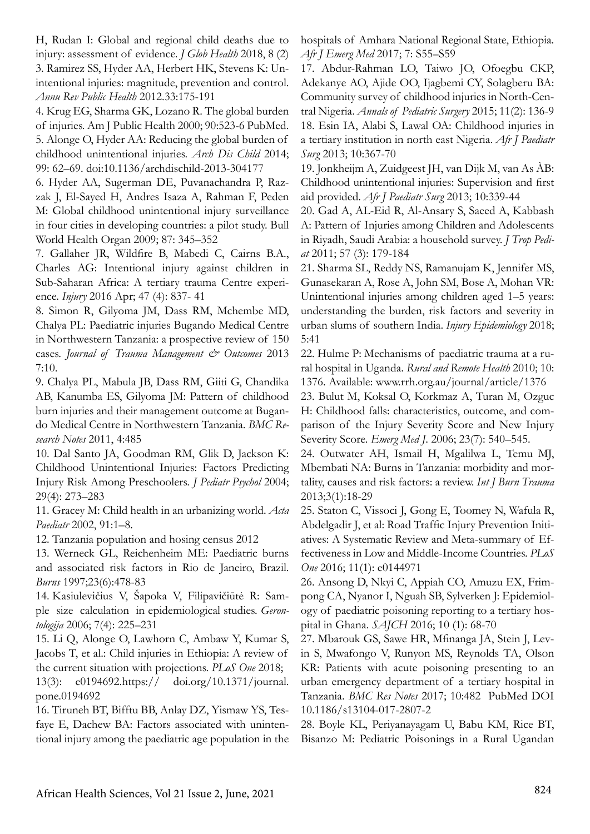H, Rudan I: Global and regional child deaths due to injury: assessment of evidence. *J Glob Health* 2018, 8 (2) 3. Ramirez SS, Hyder AA, Herbert HK, Stevens K: Unintentional injuries: magnitude, prevention and control. *Annu Rev Public Health* 2012.33:175-191

4. Krug EG, Sharma GK, Lozano R. The global burden of injuries. Am J Public Health 2000; 90:523-6 PubMed. 5. Alonge O, Hyder AA: Reducing the global burden of childhood unintentional injuries. *Arch Dis Child* 2014; 99: 62–69. doi:10.1136/archdischild-2013-304177

6. Hyder AA, Sugerman DE, Puvanachandra P, Razzak J, El-Sayed H, Andres Isaza A, Rahman F, Peden M: Global childhood unintentional injury surveillance in four cities in developing countries: a pilot study. Bull World Health Organ 2009; 87: 345–352

7. Gallaher JR, Wildfire B, Mabedi C, Cairns B.A., Charles AG: Intentional injury against children in Sub-Saharan Africa: A tertiary trauma Centre experience. *Injury* 2016 Apr; 47 (4): 837- 41

8. Simon R, Gilyoma JM, Dass RM, Mchembe MD, Chalya PL: Paediatric injuries Bugando Medical Centre in Northwestern Tanzania: a prospective review of 150 cases. *Journal of Trauma Management & Outcomes* 2013 7:10.

9. Chalya PL, Mabula JB, Dass RM, Giiti G, Chandika AB, Kanumba ES, Gilyoma JM: Pattern of childhood burn injuries and their management outcome at Bugando Medical Centre in Northwestern Tanzania. *BMC Research Notes* 2011, 4:485

10. Dal Santo JA, Goodman RM, Glik D, Jackson K: Childhood Unintentional Injuries: Factors Predicting Injury Risk Among Preschoolers. *J Pediatr Psychol* 2004; 29(4): 273–283

11. Gracey M: Child health in an urbanizing world. *Acta Paediatr* 2002, 91:1–8.

12. Tanzania population and hosing census 2012

13. Werneck GL, Reichenheim ME: Paediatric burns and associated risk factors in Rio de Janeiro, Brazil. *Burns* 1997;23(6):478-83

14. Kasiulevičius V, Šapoka V, Filipavičiūtė R: Sample size calculation in epidemiological studies. *Gerontologija* 2006; 7(4): 225–231

15. Li Q, Alonge O, Lawhorn C, Ambaw Y, Kumar S, Jacobs T, et al.: Child injuries in Ethiopia: A review of the current situation with projections. *PLoS One* 2018;

13(3): e0194692.https:// doi.org/10.1371/journal. pone.0194692

16. Tiruneh BT, Bifftu BB, Anlay DZ, Yismaw YS, Tesfaye E, Dachew BA: Factors associated with unintentional injury among the paediatric age population in the hospitals of Amhara National Regional State, Ethiopia. *Afr J Emerg Med* 2017; 7: S55–S59

17. Abdur-Rahman LO, Taiwo JO, Ofoegbu CKP, Adekanye AO, Ajide OO, Ijagbemi CY, Solagberu BA: Community survey of childhood injuries in North-Central Nigeria. *Annals of Pediatric Surgery* 2015; 11(2): 136-9 18. Esin IA, Alabi S, Lawal OA: Childhood injuries in a tertiary institution in north east Nigeria. *Afr J Paediatr Surg* 2013; 10:367-70

19. Jonkheijm A, Zuidgeest JH, van Dijk M, van As ÀB: Childhood unintentional injuries: Supervision and first aid provided. *Afr J Paediatr Surg* 2013; 10:339-44

20. Gad A, AL-Eid R, Al-Ansary S, Saeed A, Kabbash A: Pattern of Injuries among Children and Adolescents in Riyadh, Saudi Arabia: a household survey. *J Trop Pediat* 2011; 57 (3): 179-184

21. Sharma SL, Reddy NS, Ramanujam K, Jennifer MS, Gunasekaran A, Rose A, John SM, Bose A, Mohan VR: Unintentional injuries among children aged 1–5 years: understanding the burden, risk factors and severity in urban slums of southern India. *Injury Epidemiology* 2018; 5:41

22. Hulme P: Mechanisms of paediatric trauma at a rural hospital in Uganda. *Rural and Remote Health* 2010; 10: 1376. Available: www.rrh.org.au/journal/article/1376

23. Bulut M, Koksal O, Korkmaz A, Turan M, Ozguc H: Childhood falls: characteristics, outcome, and comparison of the Injury Severity Score and New Injury Severity Score. *Emerg Med J*. 2006; 23(7): 540–545.

24. Outwater AH, Ismail H, Mgalilwa L, Temu MJ, Mbembati NA: Burns in Tanzania: morbidity and mortality, causes and risk factors: a review. *Int J Burn Trauma* 2013;3(1):18-29

25. Staton C, Vissoci J, Gong E, Toomey N, Wafula R, Abdelgadir J, et al: Road Traffic Injury Prevention Initiatives: A Systematic Review and Meta-summary of Effectiveness in Low and Middle-Income Countries. *PLoS One* 2016; 11(1): e0144971

26. Ansong D, Nkyi C, Appiah CO, Amuzu EX, Frimpong CA, Nyanor I, Nguah SB, Sylverken J: Epidemiology of paediatric poisoning reporting to a tertiary hospital in Ghana. *SAJCH* 2016; 10 (1): 68-70

27. Mbarouk GS, Sawe HR, Mfinanga JA, Stein J, Levin S, Mwafongo V, Runyon MS, Reynolds TA, Olson KR: Patients with acute poisoning presenting to an urban emergency department of a tertiary hospital in Tanzania. *BMC Res Notes* 2017; 10:482 PubMed DOI 10.1186/s13104-017-2807-2

28. Boyle KL, Periyanayagam U, Babu KM, Rice BT, Bisanzo M: Pediatric Poisonings in a Rural Ugandan